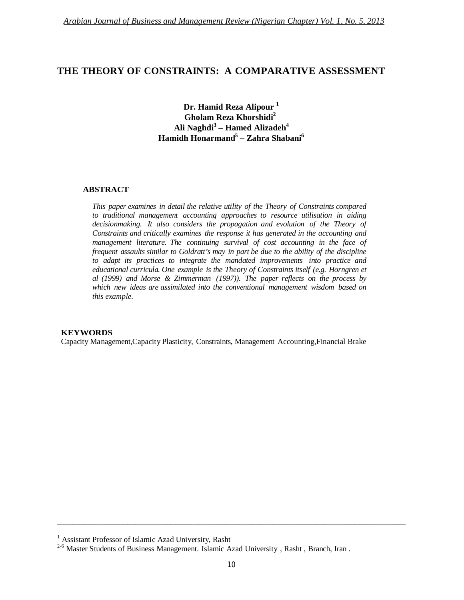## **THE THEORY OF CONSTRAINTS: A COMPARATIVE ASSESSMENT**

**Dr. Hamid Reza Alipour <sup>1</sup> Gholam Reza Khorshidi<sup>2</sup> Ali Naghdi<sup>3</sup> – Hamed Alizadeh<sup>4</sup> Hamidh Honarmand<sup>5</sup> – Zahra Shabani<sup>6</sup>**

#### **ABSTRACT**

*This paper examines in detail the relative utility of the Theory of Constraints compared to traditional management accounting approaches to resource utilisation in aiding decisionmaking. It also considers the propagation and evolution of the Theory of Constraints and critically examines the response it has generated in the accounting and management literature. The continuing survival of cost accounting in the face of frequent assaults similar to Goldratt's may in part be due to the ability of the discipline to adapt its practices to integrate the mandated improvements into practice and educational curricula. One example is the Theory of Constraints itself (e.g. Horngren et al (1999) and Morse & Zimmerman (1997)). The paper reflects on the process by which new ideas are assimilated into the conventional management wisdom based on this example.*

#### **KEYWORDS**

Capacity Management,Capacity Plasticity, Constraints, Management Accounting,Financial Brake

\_\_\_\_\_\_\_\_\_\_\_\_\_\_\_\_\_\_\_\_\_\_\_\_\_\_\_\_\_\_\_\_\_\_\_\_\_\_\_\_\_\_\_\_\_\_\_\_\_\_\_\_\_\_\_\_\_\_\_\_\_\_\_\_\_\_\_\_\_\_\_\_\_\_\_\_\_\_\_\_\_\_\_\_\_\_\_\_\_

<sup>&</sup>lt;sup>1</sup> Assistant Professor of Islamic Azad University, Rasht

<sup>&</sup>lt;sup>2-6</sup> Master Students of Business Management. Islamic Azad University, Rasht, Branch, Iran.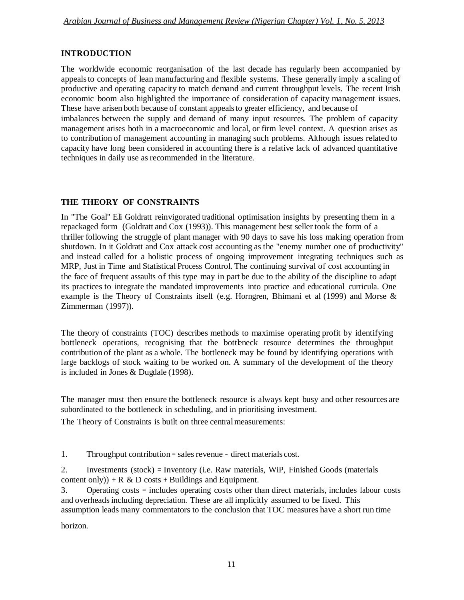## **INTRODUCTION**

The worldwide economic reorganisation of the last decade has regularly been accompanied by appealsto concepts of lean manufacturing and flexible systems. These generally imply a scaling of productive and operating capacity to match demand and current throughput levels. The recent Irish economic boom also highlighted the importance of consideration of capacity management issues. These have arisen both because of constant appealsto greater efficiency, and because of

imbalances between the supply and demand of many input resources. The problem of capacity management arises both in a macroeconomic and local, or firm level context. A question arises as to contribution of management accounting in managing such problems. Although issues related to capacity have long been considered in accounting there is a relative lack of advanced quantitative techniques in daily use as recommended in the literature.

# **THE THEORY OF CONSTRAINTS**

In "The Goal" Eli Goldratt reinvigorated traditional optimisation insights by presenting them in a repackaged form (Goldratt and Cox (1993)). This management best seller took the form of a thriller following the struggle of plant manager with 90 days to save his loss making operation from shutdown. In it Goldratt and Cox attack cost accounting as the "enemy number one of productivity" and instead called for a holistic process of ongoing improvement integrating techniques such as MRP, Just in Time and Statistical Process Control. The continuing survival of cost accounting in the face of frequent assaults of this type may in part be due to the ability of the discipline to adapt its practices to integrate the mandated improvements into practice and educational curricula. One example is the Theory of Constraints itself (e.g. Horngren, Bhimani et al (1999) and Morse & Zimmerman (1997)).

The theory of constraints (TOC) describes methods to maximise operating profit by identifying bottleneck operations, recognising that the bottleneck resource determines the throughput contribution of the plant as a whole. The bottleneck may be found by identifying operations with large backlogs of stock waiting to be worked on. A summary of the development of the theory is included in Jones & Dugdale (1998).

The manager must then ensure the bottleneck resource is always kept busy and other resources are subordinated to the bottleneck in scheduling, and in prioritising investment.

The Theory of Constraints is built on three central measurements:

1. Throughput contribution = sales revenue - direct materials cost.

2. Investments (stock) = Inventory (i.e. Raw materials, WiP, Finished Goods (materials content only)) + R & D costs + Buildings and Equipment.

3. Operating costs = includes operating costs other than direct materials, includes labour costs and overheadsincluding depreciation. These are all implicitly assumed to be fixed. This assumption leads many commentators to the conclusion that TOC measures have a short run time

horizon.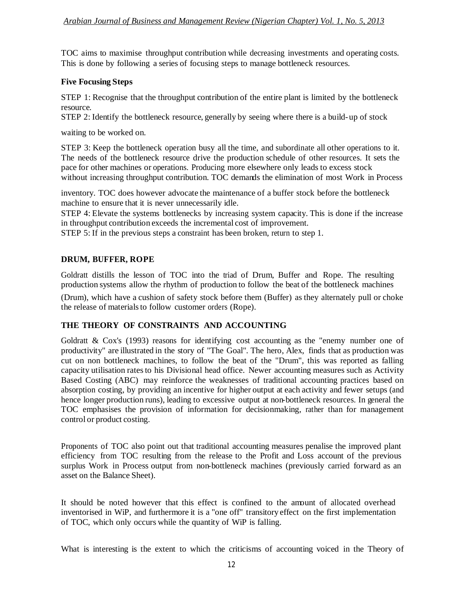TOC aims to maximise throughput contribution while decreasing investments and operating costs. This is done by following a series of focusing steps to manage bottleneck resources.

### **Five Focusing Steps**

STEP 1: Recognise that the throughput contribution of the entire plant is limited by the bottleneck resource.

STEP 2: Identify the bottleneck resource, generally by seeing where there is a build-up of stock

waiting to be worked on.

STEP 3: Keep the bottleneck operation busy all the time, and subordinate all other operations to it. The needs of the bottleneck resource drive the production schedule of other resources. It sets the pace for other machines or operations. Producing more elsewhere only leads to excess stock without increasing throughput contribution. TOC demands the elimination of most Work in Process

inventory. TOC does however advocate the maintenance of a buffer stock before the bottleneck machine to ensure that it is never unnecessarily idle.

STEP 4: Elevate the systems bottlenecks by increasing system capacity. This is done if the increase in throughput contribution exceeds the incremental cost of improvement.

STEP 5: If in the previous steps a constraint has been broken, return to step 1.

#### **DRUM, BUFFER, ROPE**

Goldratt distills the lesson of TOC into the triad of Drum, Buffer and Rope. The resulting production systems allow the rhythm of production to follow the beat of the bottleneck machines

(Drum), which have a cushion of safety stock before them (Buffer) as they alternately pull or choke the release of materials to follow customer orders (Rope).

## **THE THEORY OF CONSTRAINTS AND ACCOUNTING**

Goldratt & Cox's (1993) reasons for identifying cost accounting as the "enemy number one of productivity" are illustrated in the story of "The Goal". The hero, Alex, finds that as production was cut on non bottleneck machines, to follow the beat of the "Drum", this was reported as falling capacity utilisation ratesto his Divisional head office. Newer accounting measures such as Activity Based Costing (ABC) may reinforce the weaknesses of traditional accounting practices based on absorption costing, by providing an incentive for higher output at each activity and fewer setups (and hence longer production runs), leading to excessive output at non-bottleneck resources. In general the TOC emphasises the provision of information for decisionmaking, rather than for management control or product costing.

Proponents of TOC also point out that traditional accounting measures penalise the improved plant efficiency from TOC resulting from the release to the Profit and Loss account of the previous surplus Work in Process output from non-bottleneck machines (previously carried forward as an asset on the Balance Sheet).

It should be noted however that this effect is confined to the amount of allocated overhead inventorised in WiP, and furthermore it is a "one off" transitory effect on the first implementation of TOC, which only occurs while the quantity of WiP is falling.

What is interesting is the extent to which the criticisms of accounting voiced in the Theory of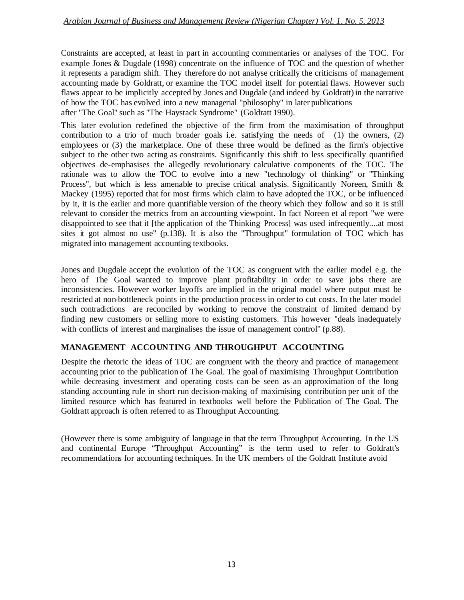Constraints are accepted, at least in part in accounting commentaries or analyses of the TOC. For example Jones & Dugdale (1998) concentrate on the influence of TOC and the question of whether it represents a paradigm shift. They therefore do not analyse critically the criticisms of management accounting made by Goldratt, or examine the TOC model itself for potential flaws. However such flaws appear to be implicitly accepted by Jones and Dugdale (and indeed by Goldratt) in the narrative of how the TOC has evolved into a new managerial "philosophy" in later publications after "The Goal" such as "The Haystack Syndrome" (Goldratt 1990).

This later evolution redefined the objective of the firm from the maximisation of throughput contribution to a trio of much broader goals i.e. satisfying the needs of (1) the owners, (2) employees or (3) the marketplace. One of these three would be defined as the firm's objective subject to the other two acting as constraints. Significantly this shift to less specifically quantified objectives de-emphasises the allegedly revolutionary calculative components of the TOC. The rationale was to allow the TOC to evolve into a new "technology of thinking" or "Thinking Process", but which is less amenable to precise critical analysis. Significantly Noreen, Smith & Mackey (1995) reported that for most firms which claim to have adopted the TOC, or be influenced by it, it is the earlier and more quantifiable version of the theory which they follow and so it is still relevant to consider the metrics from an accounting viewpoint. In fact Noreen et al report "we were disappointed to see that it [the application of the Thinking Process] was used infrequently....at most sites it got almost no use" (p.138). It is also the "Throughput" formulation of TOC which has migrated into management accounting textbooks.

Jones and Dugdale accept the evolution of the TOC as congruent with the earlier model e.g. the hero of The Goal wanted to improve plant profitability in order to save jobs there are inconsistencies. However worker layoffs are implied in the original model where output must be restricted at non-bottleneck points in the production process in order to cut costs. In the later model such contradictions are reconciled by working to remove the constraint of limited demand by finding new customers or selling more to existing customers. This however "deals inadequately with conflicts of interest and marginalises the issue of management control" (p.88).

### **MANAGEMENT ACCOUNTING AND THROUGHPUT ACCOUNTING**

Despite the rhetoric the ideas of TOC are congruent with the theory and practice of management accounting prior to the publication of The Goal. The goal of maximising Throughput Contribution while decreasing investment and operating costs can be seen as an approximation of the long standing accounting rule in short run decision-making of maximising contribution per unit of the limited resource which has featured in textbooks well before the Publication of The Goal. The Goldratt approach is often referred to as Throughput Accounting.

(However there is some ambiguity of language in that the term Throughput Accounting. In the US and continental Europe "Throughput Accounting" is the term used to refer to Goldratt's recommendations for accounting techniques. In the UK members of the Goldratt Institute avoid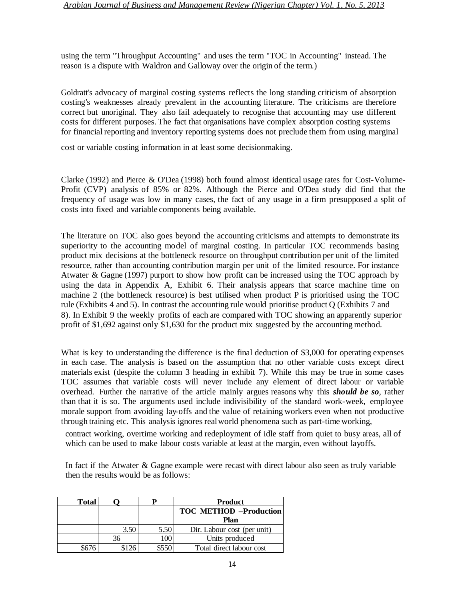using the term "Throughput Accounting" and uses the term "TOC in Accounting" instead. The reason is a dispute with Waldron and Galloway over the origin of the term.)

Goldratt's advocacy of marginal costing systems reflects the long standing criticism of absorption costing's weaknesses already prevalent in the accounting literature. The criticisms are therefore correct but unoriginal. They also fail adequately to recognise that accounting may use different costs for different purposes. The fact that organisations have complex absorption costing systems for financial reporting and inventory reporting systems does not preclude them from using marginal

cost or variable costing information in at least some decisionmaking.

Clarke (1992) and Pierce & O'Dea (1998) both found almost identical usage rates for Cost-Volume-Profit (CVP) analysis of 85% or 82%. Although the Pierce and O'Dea study did find that the frequency of usage was low in many cases, the fact of any usage in a firm presupposed a split of costs into fixed and variable components being available.

The literature on TOC also goes beyond the accounting criticisms and attempts to demonstrate its superiority to the accounting model of marginal costing. In particular TOC recommends basing product mix decisions at the bottleneck resource on throughput contribution per unit of the limited resource, rather than accounting contribution margin per unit of the limited resource. For instance Atwater & Gagne (1997) purport to show how profit can be increased using the TOC approach by using the data in Appendix A, Exhibit 6. Their analysis appears that scarce machine time on machine 2 (the bottleneck resource) is best utilised when product P is prioritised using the TOC rule (Exhibits 4 and 5). In contrast the accounting rule would prioritise product Q (Exhibits 7 and 8). In Exhibit 9 the weekly profits of each are compared with TOC showing an apparently superior profit of \$1,692 against only \$1,630 for the product mix suggested by the accounting method.

What is key to understanding the difference is the final deduction of \$3,000 for operating expenses in each case. The analysis is based on the assumption that no other variable costs except direct materials exist (despite the column 3 heading in exhibit 7). While this may be true in some cases TOC assumes that variable costs will never include any element of direct labour or variable overhead. Further the narrative of the article mainly argues reasons why this *should be so*, rather than that it is so. The arguments used include indivisibility of the standard work-week, employee morale support from avoiding lay-offs and the value of retaining workers even when not productive through training etc. This analysis ignores realworld phenomena such as part-time working,

contract working, overtime working and redeployment of idle staff from quiet to busy areas, all of which can be used to make labour costs variable at least at the margin, even without layoffs.

In fact if the Atwater & Gagne example were recast with direct labour also seen as truly variable then the results would be as follows:

| <b>Total</b> |      |       | <b>Product</b>                |
|--------------|------|-------|-------------------------------|
|              |      |       | <b>TOC METHOD -Production</b> |
|              |      |       | Plan                          |
|              | 3.50 | 5.50  | Dir. Labour cost (per unit)   |
|              | 36   | 100   | Units produced                |
|              |      | \$550 | Total direct labour cost      |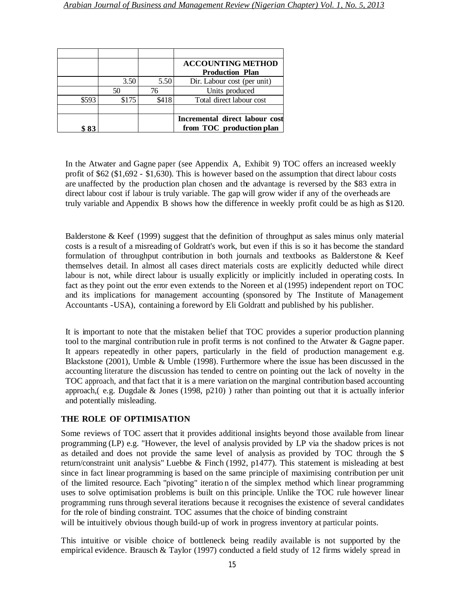|       |       |       | <b>ACCOUNTING METHOD</b><br><b>Production Plan</b>         |
|-------|-------|-------|------------------------------------------------------------|
|       | 3.50  | 5.50  | Dir. Labour cost (per unit)                                |
|       | 50    | 76    | Units produced                                             |
| \$593 | \$175 | \$418 | Total direct labour cost                                   |
|       |       |       |                                                            |
| C Q 2 |       |       | Incremental direct labour cost<br>from TOC production plan |

In the Atwater and Gagne paper (see Appendix A, Exhibit 9) TOC offers an increased weekly profit of \$62 (\$1,692 - \$1,630). This is however based on the assumption that direct labour costs are unaffected by the production plan chosen and the advantage is reversed by the \$83 extra in direct labour cost if labour is truly variable. The gap will grow wider if any of the overheads are truly variable and Appendix B shows how the difference in weekly profit could be as high as \$120.

Balderstone & Keef (1999) suggest that the definition of throughput as sales minus only material costs is a result of a misreading of Goldratt's work, but even if this is so it has become the standard formulation of throughput contribution in both journals and textbooks as Balderstone & Keef themselves detail. In almost all cases direct materials costs are explicitly deducted while direct labour is not, while direct labour is usually explicitly or implicitly included in operating costs. In fact as they point out the error even extends to the Noreen et al (1995) independent report on TOC and its implications for management accounting (sponsored by The Institute of Management Accountants -USA), containing a foreword by Eli Goldratt and published by his publisher.

It is important to note that the mistaken belief that TOC provides a superior production planning tool to the marginal contribution rule in profit terms is not confined to the Atwater & Gagne paper. It appears repeatedly in other papers, particularly in the field of production management e.g. Blackstone (2001), Umble & Umble (1998). Furthermore where the issue has been discussed in the accounting literature the discussion has tended to centre on pointing out the lack of novelty in the TOC approach, and that fact that it is a mere variation on the marginal contribution based accounting approach,( e.g. Dugdale & Jones (1998, p210) ) rather than pointing out that it is actually inferior and potentially misleading.

### **THE ROLE OF OPTIMISATION**

Some reviews of TOC assert that it provides additional insights beyond those available from linear programming (LP) e.g. "However, the level of analysis provided by LP via the shadow prices is not as detailed and does not provide the same level of analysis as provided by TOC through the \$ return/constraint unit analysis" Luebbe & Finch (1992, p1477). This statement is misleading at best since in fact linear programming is based on the same principle of maximising contribution per unit of the limited resource. Each "pivoting" iteratio n of the simplex method which linear programming uses to solve optimisation problems is built on this principle. Unlike the TOC rule however linear programming runs through several iterations because it recognises the existence of several candidates for the role of binding constraint. TOC assumes that the choice of binding constraint

will be intuitively obvious though build-up of work in progress inventory at particular points.

This intuitive or visible choice of bottleneck being readily available is not supported by the empirical evidence. Brausch & Taylor (1997) conducted a field study of 12 firms widely spread in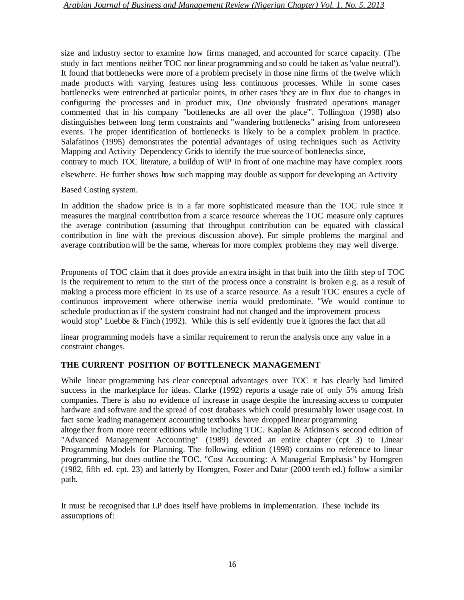size and industry sector to examine how firms managed, and accounted for scarce capacity. (The study in fact mentions neither TOC nor linear programming and so could be taken as 'value neutral'). It found that bottlenecks were more of a problem precisely in those nine firms of the twelve which made products with varying features using less continuous processes. While in some cases bottlenecks were entrenched at particular points, in other cases 'they are in flux due to changes in configuring the processes and in product mix, One obviously frustrated operations manager commented that in his company "bottlenecks are all over the place"'. Tollington (1998) also distinguishes between long term constraints and "wandering bottlenecks" arising from unforeseen events. The proper identification of bottlenecks is likely to be a complex problem in practice. Salafatinos (1995) demonstrates the potential advantages of using techniques such as Activity Mapping and Activity Dependency Grids to identify the true source of bottlenecks since,

contrary to much TOC literature, a buildup of WiP in front of one machine may have complex roots

elsewhere. He further shows how such mapping may double assupport for developing an Activity

Based Costing system.

In addition the shadow price is in a far more sophisticated measure than the TOC rule since it measures the marginal contribution from a scarce resource whereas the TOC measure only captures the average contribution (assuming that throughput contribution can be equated with classical contribution in line with the previous discussion above). For simple problems the marginal and average contribution will be the same, whereas for more complex problems they may well diverge.

Proponents of TOC claim that it does provide an extra insight in that built into the fifth step of TOC is the requirement to return to the start of the process once a constraint is broken e.g. as a result of making a process more efficient in its use of a scarce resource. As a result TOC ensures a cycle of continuous improvement where otherwise inertia would predominate. "We would continue to schedule production as if the system constraint had not changed and the improvement process would stop" Luebbe  $\&$  Finch (1992). While this is self evidently true it ignores the fact that all

linear programming models have a similar requirement to rerun the analysis once any value in a constraint changes.

### **THE CURRENT POSITION OF BOTTLENECK MANAGEMENT**

While linear programming has clear conceptual advantages over TOC it has clearly had limited success in the marketplace for ideas. Clarke (1992) reports a usage rate of only 5% among Irish companies. There is also no evidence of increase in usage despite the increasing access to computer hardware and software and the spread of cost databases which could presumably lower usage cost. In fact some leading management accounting textbooks have dropped linear programming

altoge ther from more recent editions while including TOC. Kaplan & Atkinson's second edition of "Advanced Management Accounting" (1989) devoted an entire chapter (cpt 3) to Linear Programming Models for Planning. The following edition (1998) contains no reference to linear programming, but does outline the TOC. "Cost Accounting: A Managerial Emphasis" by Horngren (1982, fifth ed. cpt. 23) and latterly by Horngren, Foster and Datar (2000 tenth ed.) follow a similar path.

It must be recognised that LP does itself have problems in implementation. These include its assumptions of: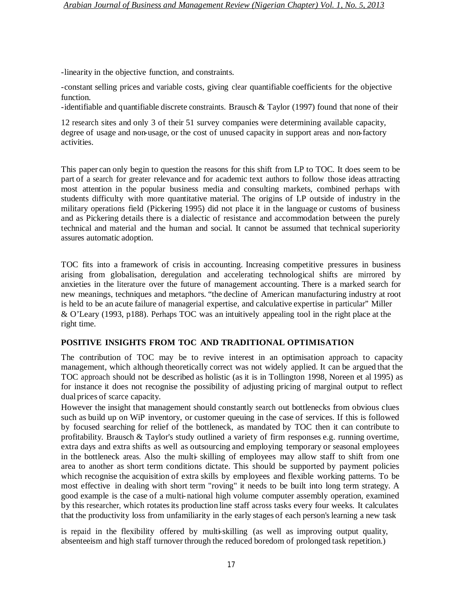-linearity in the objective function, and constraints.

-constant selling prices and variable costs, giving clear quantifiable coefficients for the objective function.

-identifiable and quantifiable discrete constraints. Brausch & Taylor (1997) found that none of their

12 research sites and only 3 of their 51 survey companies were determining available capacity, degree of usage and non-usage, or the cost of unused capacity in support areas and non-factory activities.

This paper can only begin to question the reasons for this shift from LP to TOC. It does seem to be part of a search for greater relevance and for academic text authors to follow those ideas attracting most attention in the popular business media and consulting markets, combined perhaps with students difficulty with more quantitative material. The origins of LP outside of industry in the military operations field (Pickering 1995) did not place it in the language or customs of business and as Pickering details there is a dialectic of resistance and accommodation between the purely technical and material and the human and social. It cannot be assumed that technical superiority assures automatic adoption.

TOC fits into a framework of crisis in accounting. Increasing competitive pressures in business arising from globalisation, deregulation and accelerating technological shifts are mirrored by anxieties in the literature over the future of management accounting. There is a marked search for new meanings, techniques and metaphors. "the decline of American manufacturing industry at root is held to be an acute failure of managerial expertise, and calculative expertise in particular" Miller & O'Leary (1993, p188). Perhaps TOC was an intuitively appealing tool in the right place at the right time.

#### **POSITIVE INSIGHTS FROM TOC AND TRADITIONAL OPTIMISATION**

The contribution of TOC may be to revive interest in an optimisation approach to capacity management, which although theoretically correct was not widely applied. It can be argued that the TOC approach should not be described as holistic (as it is in Tollington 1998, Noreen et al 1995) as for instance it does not recognise the possibility of adjusting pricing of marginal output to reflect dual prices of scarce capacity.

However the insight that management should constantly search out bottlenecks from obvious clues such as build up on WiP inventory, or customer queuing in the case of services. If this is followed by focused searching for relief of the bottleneck, as mandated by TOC then it can contribute to profitability. Brausch & Taylor's study outlined a variety of firm responses e.g. running overtime, extra days and extra shifts as well as outsourcing and employing temporary or seasonal employees in the bottleneck areas. Also the multi- skilling of employees may allow staff to shift from one area to another as short term conditions dictate. This should be supported by payment policies which recognise the acquisition of extra skills by employees and flexible working patterns. To be most effective in dealing with short term "roving" it needs to be built into long term strategy. A good example is the case of a multi- national high volume computer assembly operation, examined by this researcher, which rotatesits production line staff across tasks every four weeks. It calculates that the productivity loss from unfamiliarity in the early stages of each person'slearning a new task

is repaid in the flexibility offered by multi-skilling (as well as improving output quality, absenteeism and high staff turnover through the reduced boredom of prolonged task repetition.)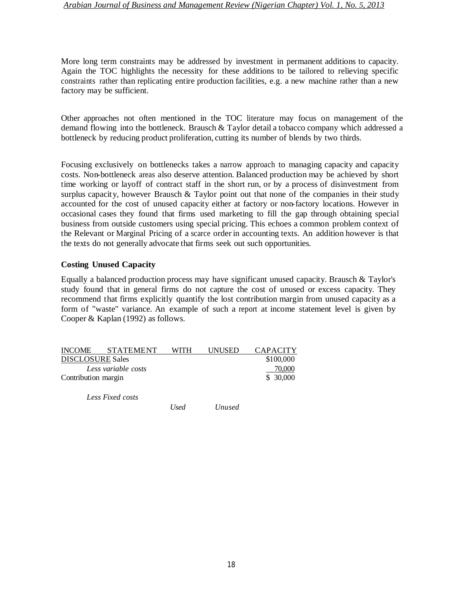More long term constraints may be addressed by investment in permanent additions to capacity. Again the TOC highlights the necessity for these additions to be tailored to relieving specific constraints rather than replicating entire production facilities, e.g. a new machine rather than a new factory may be sufficient.

Other approaches not often mentioned in the TOC literature may focus on management of the demand flowing into the bottleneck. Brausch & Taylor detail a tobacco company which addressed a bottleneck by reducing product proliferation, cutting its number of blends by two thirds.

Focusing exclusively on bottlenecks takes a narrow approach to managing capacity and capacity costs. Non-bottleneck areas also deserve attention. Balanced production may be achieved by short time working or layoff of contract staff in the short run, or by a process of disinvestment from surplus capacity, however Brausch & Taylor point out that none of the companies in their study accounted for the cost of unused capacity either at factory or non-factory locations. However in occasional cases they found that firms used marketing to fill the gap through obtaining special business from outside customers using special pricing. This echoes a common problem context of the Relevant or Marginal Pricing of a scarce order in accounting texts. An addition however is that the texts do not generally advocate that firms seek out such opportunities.

#### **Costing Unused Capacity**

Equally a balanced production process may have significant unused capacity. Brausch & Taylor's study found that in general firms do not capture the cost of unused or excess capacity. They recommend that firms explicitly quantify the lost contribution margin from unused capacity as a form of "waste" variance. An example of such a report at income statement level is given by Cooper & Kaplan (1992) as follows.

| <b>INCOME</b>           | <b>STATEMENT</b>    | WITH | UNUSED | <b>CAPACITY</b> |
|-------------------------|---------------------|------|--------|-----------------|
| <b>DISCLOSURE Sales</b> |                     |      |        | \$100,000       |
|                         | Less variable costs |      |        | 70,000          |
| Contribution margin     |                     |      |        | \$ 30,000       |
|                         |                     |      |        |                 |
|                         | Less Fixed costs    |      |        |                 |

*Used Unused*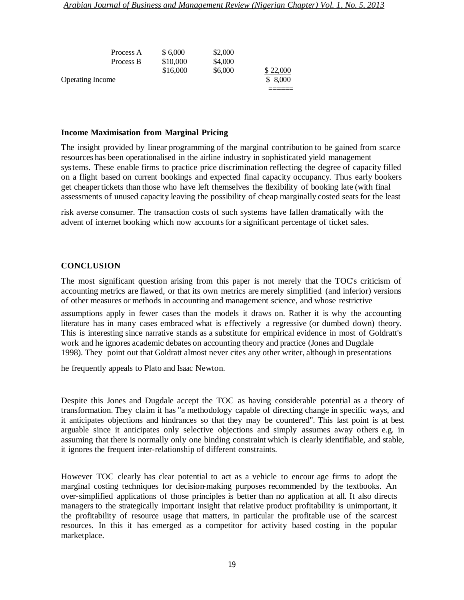| Process A               | \$6,000  | \$2,000 |          |
|-------------------------|----------|---------|----------|
| Process B               | \$10,000 | \$4,000 |          |
|                         | \$16,000 | \$6,000 | \$22,000 |
| <b>Operating Income</b> |          |         | \$8,000  |
|                         |          |         |          |

#### **Income Maximisation from Marginal Pricing**

The insight provided by linear programming of the marginal contribution to be gained from scarce resources has been operationalised in the airline industry in sophisticated yield management systems. These enable firms to practice price discrimination reflecting the degree of capacity filled on a flight based on current bookings and expected final capacity occupancy. Thus early bookers get cheapertickets than those who have left themselves the flexibility of booking late (with final assessments of unused capacity leaving the possibility of cheap marginally costed seats for the least

risk averse consumer. The transaction costs of such systems have fallen dramatically with the advent of internet booking which now accounts for a significant percentage of ticket sales.

#### **CONCLUSION**

The most significant question arising from this paper is not merely that the TOC's criticism of accounting metrics are flawed, or that its own metrics are merely simplified (and inferior) versions of other measures or methods in accounting and management science, and whose restrictive

assumptions apply in fewer cases than the models it draws on. Rather it is why the accounting literature has in many cases embraced what is effectively a regressive (or dumbed down) theory. This is interesting since narrative stands as a substitute for empirical evidence in most of Goldratt's work and he ignores academic debates on accounting theory and practice (Jones and Dugdale 1998). They point out that Goldratt almost never cites any other writer, although in presentations

he frequently appeals to Plato and Isaac Newton.

Despite this Jones and Dugdale accept the TOC as having considerable potential as a theory of transformation. They claim it has "a methodology capable of directing change in specific ways, and it anticipates objections and hindrances so that they may be countered". This last point is at best arguable since it anticipates only selective objections and simply assumes away others e.g. in assuming that there is normally only one binding constraint which is clearly identifiable, and stable, it ignores the frequent inter-relationship of different constraints.

However TOC clearly has clear potential to act as a vehicle to encour age firms to adopt the marginal costing techniques for decision-making purposes recommended by the textbooks. An over-simplified applications of those principles is better than no application at all. It also directs managers to the strategically important insight that relative product profitability is unimportant, it the profitability of resource usage that matters, in particular the profitable use of the scarcest resources. In this it has emerged as a competitor for activity based costing in the popular marketplace.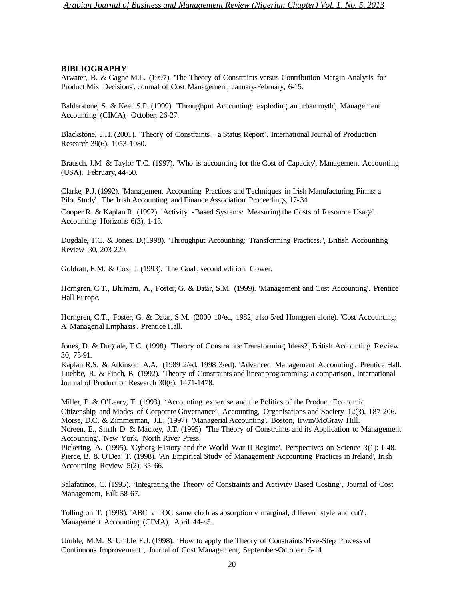#### **BIBLIOGRAPHY**

Atwater, B. & Gagne M.L. (1997). 'The Theory of Constraints versus Contribution Margin Analysis for Product Mix Decisions', Journal of Cost Management, January-February, 6-15.

Balderstone, S. & Keef S.P. (1999). 'Throughput Accounting: exploding an urban myth', Management Accounting (CIMA), October, 26-27.

Blackstone, J.H. (2001). 'Theory of Constraints – a Status Report'. International Journal of Production Research 39(6), 1053-1080.

Brausch, J.M. & Taylor T.C. (1997). 'Who is accounting for the Cost of Capacity', Management Accounting (USA), February, 44-50.

Clarke, P.J. (1992). 'Management Accounting Practices and Techniques in Irish Manufacturing Firms: a Pilot Study'. The Irish Accounting and Finance Association Proceedings, 17-34.

Cooper R. & Kaplan R. (1992). 'Activity -Based Systems: Measuring the Costs of Resource Usage'. Accounting Horizons 6(3), 1-13.

Dugdale, T.C. & Jones, D.(1998). 'Throughput Accounting: Transforming Practices?', British Accounting Review 30, 203-220.

Goldratt, E.M. & Cox, J. (1993). 'The Goal', second edition. Gower.

Horngren, C.T., Bhimani, A., Foster, G. & Datar, S.M. (1999). 'Management and Cost Accounting'. Prentice Hall Europe.

Horngren, C.T., Foster, G. & Datar, S.M. (2000 10/ed, 1982; also 5/ed Horngren alone). 'Cost Accounting: A Managerial Emphasis'. Prentice Hall.

Jones, D. & Dugdale, T.C. (1998). 'Theory of Constraints: Transforming Ideas?', British Accounting Review 30, 73-91.

Kaplan R.S. & Atkinson A.A. (1989 2/ed, 1998 3/ed). 'Advanced Management Accounting'. Prentice Hall. Luebbe, R. & Finch, B. (1992). 'Theory of Constraints and linear programming: a comparison', International Journal of Production Research 30(6), 1471-1478.

Miller, P. & O'Leary, T. (1993). 'Accounting expertise and the Politics of the Product: Economic Citizenship and Modes of Corporate Governance', Accounting, Organisations and Society 12(3), 187-206. Morse, D.C. & Zimmerman, J.L. (1997). 'Managerial Accounting'. Boston, Irwin/McGraw Hill. Noreen, E., Smith D. & Mackey, J.T. (1995). 'The Theory of Constraints and its Application to Management Accounting'. New York, North River Press.

Pickering, A. (1995). 'Cyborg History and the World War II Regime', Perspectives on Science 3(1): 1-48. Pierce, B. & O'Dea, T. (1998). 'An Empirical Study of Management Accounting Practices in Ireland', Irish Accounting Review 5(2): 35-66.

Salafatinos, C. (1995). 'Integrating the Theory of Constraints and Activity Based Costing', Journal of Cost Management, Fall: 58-67.

Tollington T. (1998). 'ABC v TOC same cloth as absorption v marginal, different style and cut?', Management Accounting (CIMA), April 44-45.

Umble, M.M. & Umble E.J. (1998). 'How to apply the Theory of Constraints'Five-Step Process of Continuous Improvement', Journal of Cost Management, September-October: 5-14.